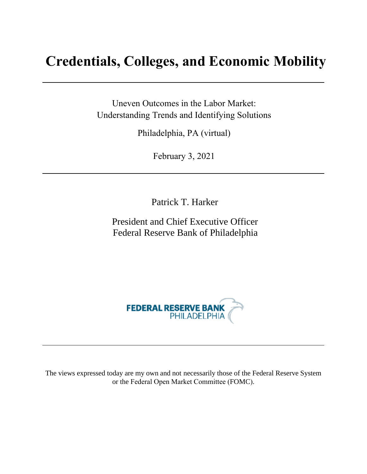# **Credentials, Colleges, and Economic Mobility**

Uneven Outcomes in the Labor Market: Understanding Trends and Identifying Solutions

Philadelphia, PA (virtual)

February 3, 2021

Patrick T. Harker

President and Chief Executive Officer Federal Reserve Bank of Philadelphia



The views expressed today are my own and not necessarily those of the Federal Reserve System or the Federal Open Market Committee (FOMC).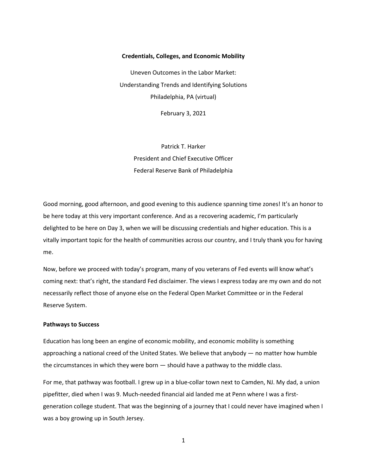## **Credentials, Colleges, and Economic Mobility**

Uneven Outcomes in the Labor Market: Understanding Trends and Identifying Solutions Philadelphia, PA (virtual)

February 3, 2021

Patrick T. Harker President and Chief Executive Officer Federal Reserve Bank of Philadelphia

Good morning, good afternoon, and good evening to this audience spanning time zones! It's an honor to be here today at this very important conference. And as a recovering academic, I'm particularly delighted to be here on Day 3, when we will be discussing credentials and higher education. This is a vitally important topic for the health of communities across our country, and I truly thank you for having me.

Now, before we proceed with today's program, many of you veterans of Fed events will know what's coming next: that's right, the standard Fed disclaimer. The views I express today are my own and do not necessarily reflect those of anyone else on the Federal Open Market Committee or in the Federal Reserve System.

### **Pathways to Success**

Education has long been an engine of economic mobility, and economic mobility is something approaching a national creed of the United States. We believe that anybody ― no matter how humble the circumstances in which they were born ― should have a pathway to the middle class.

For me, that pathway was football. I grew up in a blue-collar town next to Camden, NJ. My dad, a union pipefitter, died when I was 9. Much-needed financial aid landed me at Penn where I was a firstgeneration college student. That was the beginning of a journey that I could never have imagined when I was a boy growing up in South Jersey.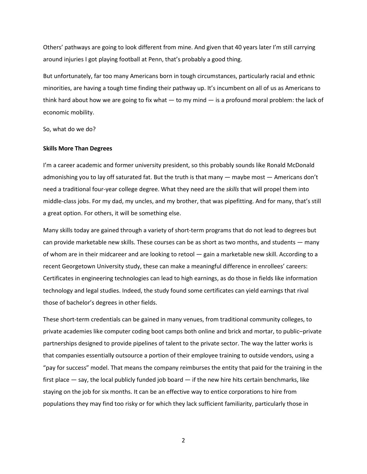Others' pathways are going to look different from mine. And given that 40 years later I'm still carrying around injuries I got playing football at Penn, that's probably a good thing.

But unfortunately, far too many Americans born in tough circumstances, particularly racial and ethnic minorities, are having a tough time finding their pathway up. It's incumbent on all of us as Americans to think hard about how we are going to fix what ― to my mind ― is a profound moral problem: the lack of economic mobility.

So, what do we do?

#### **Skills More Than Degrees**

I'm a career academic and former university president, so this probably sounds like Ronald McDonald admonishing you to lay off saturated fat. But the truth is that many — maybe most — Americans don't need a traditional four-year college degree. What they need are the *skills* that will propel them into middle-class jobs. For my dad, my uncles, and my brother, that was pipefitting. And for many, that's still a great option. For others, it will be something else.

Many skills today are gained through a variety of short-term programs that do not lead to degrees but can provide marketable new skills. These courses can be as short as two months, and students ― many of whom are in their midcareer and are looking to retool ― gain a marketable new skill. According to a recent Georgetown University study, these can make a meaningful difference in enrollees' careers: Certificates in engineering technologies can lead to high earnings, as do those in fields like information technology and legal studies. Indeed, the study found some certificates can yield earnings that rival those of bachelor's degrees in other fields.

These short-term credentials can be gained in many venues, from traditional community colleges, to private academies like computer coding boot camps both online and brick and mortar, to public–private partnerships designed to provide pipelines of talent to the private sector. The way the latter works is that companies essentially outsource a portion of their employee training to outside vendors, using a "pay for success" model. That means the company reimburses the entity that paid for the training in the first place — say, the local publicly funded job board — if the new hire hits certain benchmarks, like staying on the job for six months. It can be an effective way to entice corporations to hire from populations they may find too risky or for which they lack sufficient familiarity, particularly those in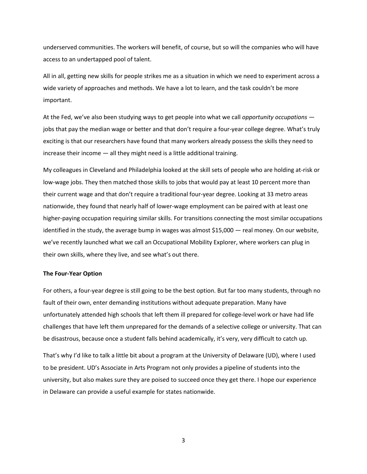underserved communities. The workers will benefit, of course, but so will the companies who will have access to an undertapped pool of talent.

All in all, getting new skills for people strikes me as a situation in which we need to experiment across a wide variety of approaches and methods. We have a lot to learn, and the task couldn't be more important.

At the Fed, we've also been studying ways to get people into what we call *opportunity occupations* jobs that pay the median wage or better and that don't require a four-year college degree. What's truly exciting is that our researchers have found that many workers already possess the skills they need to increase their income  $-$  all they might need is a little additional training.

My colleagues in Cleveland and Philadelphia looked at the skill sets of people who are holding at-risk or low-wage jobs. They then matched those skills to jobs that would pay at least 10 percent more than their current wage and that don't require a traditional four-year degree. Looking at 33 metro areas nationwide, they found that nearly half of lower-wage employment can be paired with at least one higher-paying occupation requiring similar skills. For transitions connecting the most similar occupations identified in the study, the average bump in wages was almost \$15,000 ― real money. On our website, we've recently launched what we call an Occupational Mobility Explorer, where workers can plug in their own skills, where they live, and see what's out there.

## **The Four-Year Option**

For others, a four-year degree is still going to be the best option. But far too many students, through no fault of their own, enter demanding institutions without adequate preparation. Many have unfortunately attended high schools that left them ill prepared for college-level work or have had life challenges that have left them unprepared for the demands of a selective college or university. That can be disastrous, because once a student falls behind academically, it's very, very difficult to catch up.

That's why I'd like to talk a little bit about a program at the University of Delaware (UD), where I used to be president. UD's Associate in Arts Program not only provides a pipeline of students into the university, but also makes sure they are poised to succeed once they get there. I hope our experience in Delaware can provide a useful example for states nationwide.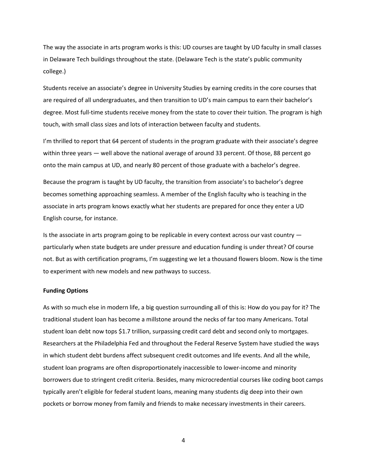The way the associate in arts program works is this: UD courses are taught by UD faculty in small classes in Delaware Tech buildings throughout the state. (Delaware Tech is the state's public community college.)

Students receive an associate's degree in University Studies by earning credits in the core courses that are required of all undergraduates, and then transition to UD's main campus to earn their bachelor's degree. Most full-time students receive money from the state to cover their tuition. The program is high touch, with small class sizes and lots of interaction between faculty and students.

I'm thrilled to report that 64 percent of students in the program graduate with their associate's degree within three years — well above the national average of around 33 percent. Of those, 88 percent go onto the main campus at UD, and nearly 80 percent of those graduate with a bachelor's degree.

Because the program is taught by UD faculty, the transition from associate's to bachelor's degree becomes something approaching seamless. A member of the English faculty who is teaching in the associate in arts program knows exactly what her students are prepared for once they enter a UD English course, for instance.

Is the associate in arts program going to be replicable in every context across our vast country ― particularly when state budgets are under pressure and education funding is under threat? Of course not. But as with certification programs, I'm suggesting we let a thousand flowers bloom. Now is the time to experiment with new models and new pathways to success.

#### **Funding Options**

As with so much else in modern life, a big question surrounding all of this is: How do you pay for it? The traditional student loan has become a millstone around the necks of far too many Americans. Total student loan debt now tops \$1.7 trillion, surpassing credit card debt and second only to mortgages. Researchers at the Philadelphia Fed and throughout the Federal Reserve System have studied the ways in which student debt burdens affect subsequent credit outcomes and life events. And all the while, student loan programs are often disproportionately inaccessible to lower-income and minority borrowers due to stringent credit criteria. Besides, many microcredential courses like coding boot camps typically aren't eligible for federal student loans, meaning many students dig deep into their own pockets or borrow money from family and friends to make necessary investments in their careers.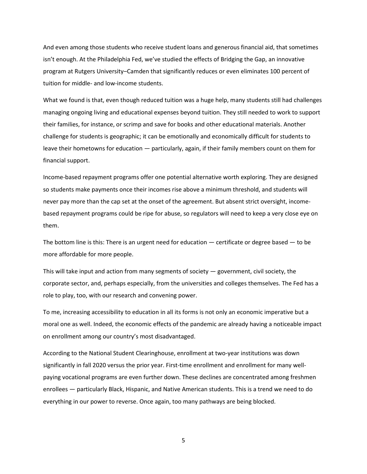And even among those students who receive student loans and generous financial aid, that sometimes isn't enough. At the Philadelphia Fed, we've studied the effects of Bridging the Gap, an innovative program at Rutgers University–Camden that significantly reduces or even eliminates 100 percent of tuition for middle- and low-income students.

What we found is that, even though reduced tuition was a huge help, many students still had challenges managing ongoing living and educational expenses beyond tuition. They still needed to work to support their families, for instance, or scrimp and save for books and other educational materials. Another challenge for students is geographic; it can be emotionally and economically difficult for students to leave their hometowns for education ― particularly, again, if their family members count on them for financial support.

Income-based repayment programs offer one potential alternative worth exploring. They are designed so students make payments once their incomes rise above a minimum threshold, and students will never pay more than the cap set at the onset of the agreement. But absent strict oversight, incomebased repayment programs could be ripe for abuse, so regulators will need to keep a very close eye on them.

The bottom line is this: There is an urgent need for education — certificate or degree based  $-$  to be more affordable for more people.

This will take input and action from many segments of society ― government, civil society, the corporate sector, and, perhaps especially, from the universities and colleges themselves. The Fed has a role to play, too, with our research and convening power.

To me, increasing accessibility to education in all its forms is not only an economic imperative but a moral one as well. Indeed, the economic effects of the pandemic are already having a noticeable impact on enrollment among our country's most disadvantaged.

According to the National Student Clearinghouse, enrollment at two-year institutions was down significantly in fall 2020 versus the prior year. First-time enrollment and enrollment for many wellpaying vocational programs are even further down. These declines are concentrated among freshmen enrollees ― particularly Black, Hispanic, and Native American students. This is a trend we need to do everything in our power to reverse. Once again, too many pathways are being blocked.